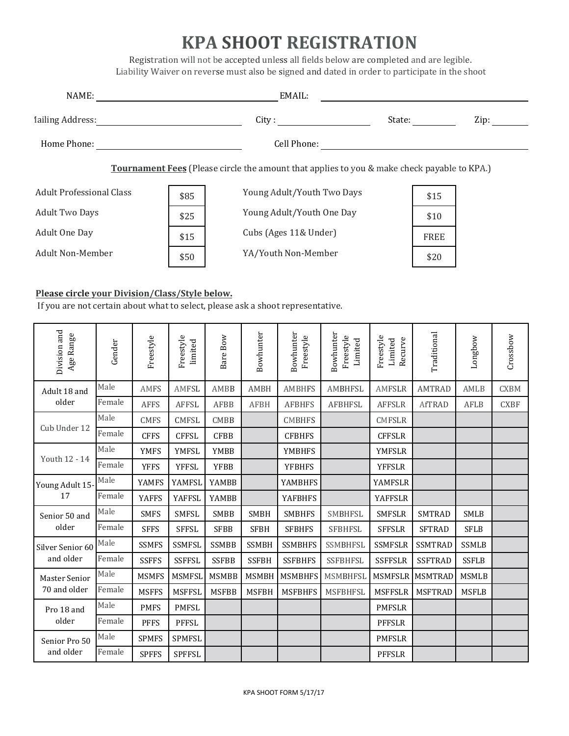## **KPA SHOOT REGISTRATION**

Registration will not be accepted unless all fields below are completed and are legible. Liability Waiver on reverse must also be signed and dated in order to participate in the shoot

| NAME:                                                                                              |      |                                 | EMAIL: |      |  |  |
|----------------------------------------------------------------------------------------------------|------|---------------------------------|--------|------|--|--|
| <b>Jailing Address:</b>                                                                            |      | City : $\overline{\phantom{a}}$ | State: | Zip: |  |  |
| Home Phone:                                                                                        |      | Cell Phone:                     |        |      |  |  |
| <b>Tournament Fees</b> (Please circle the amount that applies to you & make check payable to KPA.) |      |                                 |        |      |  |  |
| <b>Adult Professional Class</b>                                                                    | \$85 | Young Adult/Youth Two Days      | \$15   |      |  |  |
| <b>Adult Two Days</b>                                                                              | \$25 | Young Adult/Youth One Day       | \$10   |      |  |  |
| Adult One Day                                                                                      | \$15 | Cubs (Ages 11& Under)           | FREE   |      |  |  |
| <b>Adult Non-Member</b>                                                                            | \$50 | YA/Youth Non-Member             | \$20   |      |  |  |

## Please circle your Division/Class/Style below.

If you are not certain about what to select, please ask a shoot representative.

| Division and<br>Age Range            | Gender | Freestyle    | Freestyle<br>limited | Bare Bow     | Bowhunter    | Bowhunter<br>Freestyle | Bowhunter<br>Freestyle<br>Limited | Freestyle<br>Recurve<br>Limited | Traditional    | Longbow      | Crossbow    |
|--------------------------------------|--------|--------------|----------------------|--------------|--------------|------------------------|-----------------------------------|---------------------------------|----------------|--------------|-------------|
| Adult 18 and<br>older                | Male   | AMFS         | AMFSL                | AMBB         | <b>AMBH</b>  | <b>AMBHFS</b>          | <b>AMBHFSL</b>                    | <b>AMFSLR</b>                   | <b>AMTRAD</b>  | AMLB         | <b>CXBM</b> |
|                                      | Female | <b>AFFS</b>  | <b>AFFSL</b>         | <b>AFBB</b>  | <b>AFBH</b>  | <b>AFBHFS</b>          | <b>AFBHFSL</b>                    | <b>AFFSLR</b>                   | <b>AfTRAD</b>  | AFLB         | <b>CXBF</b> |
| Cub Under 12                         | Male   | <b>CMFS</b>  | <b>CMFSL</b>         | <b>CMBB</b>  |              | <b>CMBHFS</b>          |                                   | <b>CMFSLR</b>                   |                |              |             |
|                                      | Female | <b>CFFS</b>  | <b>CFFSL</b>         | <b>CFBB</b>  |              | <b>CFBHFS</b>          |                                   | <b>CFFSLR</b>                   |                |              |             |
|                                      | Male   | <b>YMFS</b>  | <b>YMFSL</b>         | YMBB         |              | <b>YMBHFS</b>          |                                   | <b>YMFSLR</b>                   |                |              |             |
| Youth 12 - 14                        | Female | <b>YFFS</b>  | <b>YFFSL</b>         | <b>YFBB</b>  |              | <b>YFBHFS</b>          |                                   | <b>YFFSLR</b>                   |                |              |             |
| Young Adult 15-<br>17                | Male   | <b>YAMFS</b> | YAMFSL               | YAMBB        |              | <b>YAMBHFS</b>         |                                   | <b>YAMFSLR</b>                  |                |              |             |
|                                      | Female | <b>YAFFS</b> | <b>YAFFSL</b>        | YAMBB        |              | <b>YAFBHFS</b>         |                                   | <b>YAFFSLR</b>                  |                |              |             |
| Senior 50 and                        | Male   | <b>SMFS</b>  | <b>SMFSL</b>         | <b>SMBB</b>  | <b>SMBH</b>  | <b>SMBHFS</b>          | <b>SMBHFSL</b>                    | <b>SMFSLR</b>                   | <b>SMTRAD</b>  | <b>SMLB</b>  |             |
| older                                | Female | <b>SFFS</b>  | <b>SFFSL</b>         | <b>SFBB</b>  | <b>SFBH</b>  | <b>SFBHFS</b>          | <b>SFBHFSL</b>                    | <b>SFFSLR</b>                   | <b>SFTRAD</b>  | <b>SFLB</b>  |             |
| Silver Senior 60                     | Male   | <b>SSMFS</b> | <b>SSMFSL</b>        | <b>SSMBB</b> | <b>SSMBH</b> | <b>SSMBHFS</b>         | SSMBHFSL                          | <b>SSMFSLR</b>                  | <b>SSMTRAD</b> | <b>SSMLB</b> |             |
| and older                            | Female | <b>SSFFS</b> | <b>SSFFSL</b>        | <b>SSFBB</b> | <b>SSFBH</b> | <b>SSFBHFS</b>         | <b>SSFBHFSL</b>                   | <b>SSFFSLR</b>                  | <b>SSFTRAD</b> | <b>SSFLB</b> |             |
| <b>Master Senior</b><br>70 and older | Male   | <b>MSMFS</b> | <b>MSMFSL</b>        | <b>MSMBB</b> | <b>MSMBH</b> | <b>MSMBHFS</b>         | <b>MSMBHFSL</b>                   | <b>MSMFSLR</b>                  | <b>MSMTRAD</b> | <b>MSMLB</b> |             |
|                                      | Female | <b>MSFFS</b> | <b>MSFFSL</b>        | <b>MSFBB</b> | <b>MSFBH</b> | <b>MSFBHFS</b>         | <b>MSFBHFSL</b>                   | <b>MSFFSLR</b>                  | <b>MSFTRAD</b> | <b>MSFLB</b> |             |
| Pro 18 and<br>older                  | Male   | <b>PMFS</b>  | <b>PMFSL</b>         |              |              |                        |                                   | <b>PMFSLR</b>                   |                |              |             |
|                                      | Female | <b>PFFS</b>  | <b>PFFSL</b>         |              |              |                        |                                   | <b>PFFSLR</b>                   |                |              |             |
| Senior Pro 50<br>and older           | Male   | <b>SPMFS</b> | SPMFSL               |              |              |                        |                                   | <b>PMFSLR</b>                   |                |              |             |
|                                      | Female | <b>SPFFS</b> | <b>SPFFSL</b>        |              |              |                        |                                   | <b>PFFSLR</b>                   |                |              |             |